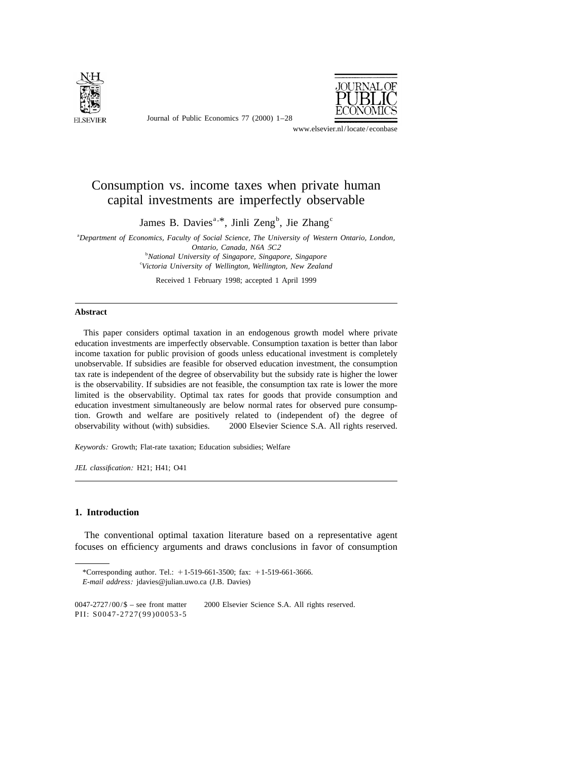

Journal of Public Economics 77 (2000) 1–28



www.elsevier.nl/locate/econbase

## Consumption vs. income taxes when private human capital investments are imperfectly observable

James B. Davies<sup>a,\*</sup>, Jinli Zeng<sup>b</sup>, Jie Zhang<sup>c</sup>

a *Department of Economics*, *Faculty of Social Science*, *The University of Western Ontario*, *London*, *Ontario*, *Canada*, *N*6*A* <sup>5</sup>*C*<sup>2</sup> b *National University of Singapore*, *Singapore*, *Singapore*

c *Victoria University of Wellington*, *Wellington*, *New Zealand*

Received 1 February 1998; accepted 1 April 1999

## **Abstract**

This paper considers optimal taxation in an endogenous growth model where private education investments are imperfectly observable. Consumption taxation is better than labor income taxation for public provision of goods unless educational investment is completely unobservable. If subsidies are feasible for observed education investment, the consumption tax rate is independent of the degree of observability but the subsidy rate is higher the lower is the observability. If subsidies are not feasible, the consumption tax rate is lower the more limited is the observability. Optimal tax rates for goods that provide consumption and education investment simultaneously are below normal rates for observed pure consumption. Growth and welfare are positively related to (independent of) the degree of observability without (with) subsidies.  $\circ$  2000 Elsevier Science S.A. All rights reserved.

*Keywords*: Growth; Flat-rate taxation; Education subsidies; Welfare

*JEL classification*: H21; H41; O41

## **1. Introduction**

The conventional optimal taxation literature based on a representative agent focuses on efficiency arguments and draws conclusions in favor of consumption

<sup>\*</sup>Corresponding author. Tel.:  $+1-519-661-3500$ ; fax:  $+1-519-661-3666$ . *E*-*mail address*: jdavies@julian.uwo.ca (J.B. Davies)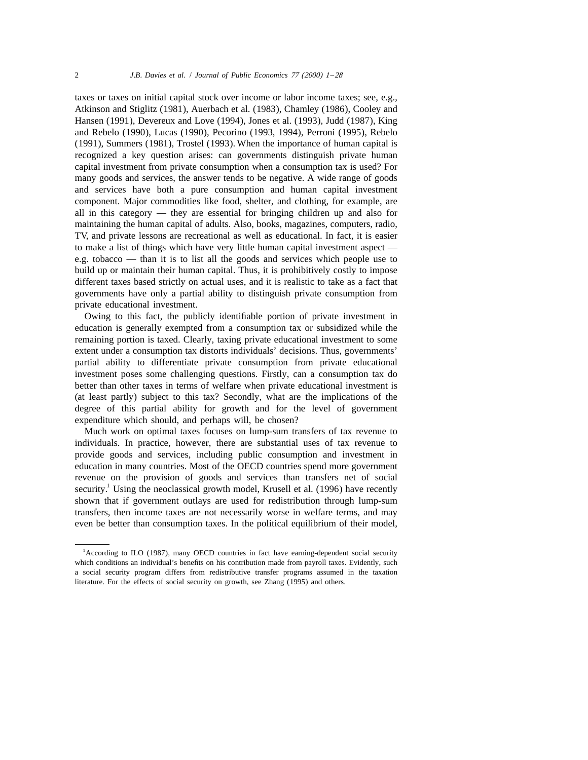taxes or taxes on initial capital stock over income or labor income taxes; see, e.g., Atkinson and Stiglitz (1981), Auerbach et al. (1983), Chamley (1986), Cooley and Hansen (1991), Devereux and Love (1994), Jones et al. (1993), Judd (1987), King and Rebelo (1990), Lucas (1990), Pecorino (1993, 1994), Perroni (1995), Rebelo (1991), Summers (1981), Trostel (1993). When the importance of human capital is recognized a key question arises: can governments distinguish private human capital investment from private consumption when a consumption tax is used? For many goods and services, the answer tends to be negative. A wide range of goods and services have both a pure consumption and human capital investment component. Major commodities like food, shelter, and clothing, for example, are all in this category — they are essential for bringing children up and also for maintaining the human capital of adults. Also, books, magazines, computers, radio, TV, and private lessons are recreational as well as educational. In fact, it is easier to make a list of things which have very little human capital investment aspect e.g. tobacco — than it is to list all the goods and services which people use to build up or maintain their human capital. Thus, it is prohibitively costly to impose different taxes based strictly on actual uses, and it is realistic to take as a fact that governments have only a partial ability to distinguish private consumption from private educational investment.

Owing to this fact, the publicly identifiable portion of private investment in education is generally exempted from a consumption tax or subsidized while the remaining portion is taxed. Clearly, taxing private educational investment to some extent under a consumption tax distorts individuals' decisions. Thus, governments' partial ability to differentiate private consumption from private educational investment poses some challenging questions. Firstly, can a consumption tax do better than other taxes in terms of welfare when private educational investment is (at least partly) subject to this tax? Secondly, what are the implications of the degree of this partial ability for growth and for the level of government expenditure which should, and perhaps will, be chosen?

Much work on optimal taxes focuses on lump-sum transfers of tax revenue to individuals. In practice, however, there are substantial uses of tax revenue to provide goods and services, including public consumption and investment in education in many countries. Most of the OECD countries spend more government revenue on the provision of goods and services than transfers net of social security.<sup>1</sup> Using the neoclassical growth model, Krusell et al. (1996) have recently shown that if government outlays are used for redistribution through lump-sum transfers, then income taxes are not necessarily worse in welfare terms, and may even be better than consumption taxes. In the political equilibrium of their model,

<sup>&</sup>lt;sup>1</sup> According to ILO (1987), many OECD countries in fact have earning-dependent social security which conditions an individual's benefits on his contribution made from payroll taxes. Evidently, such a social security program differs from redistributive transfer programs assumed in the taxation literature. For the effects of social security on growth, see Zhang (1995) and others.